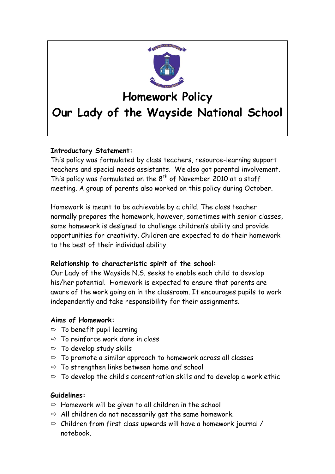

# **Homework Policy**

# **Our Lady of the Wayside National School**

# **Introductory Statement:**

This policy was formulated by class teachers, resource-learning support teachers and special needs assistants. We also got parental involvement. This policy was formulated on the  $8<sup>th</sup>$  of November 2010 at a staff meeting. A group of parents also worked on this policy during October.

Homework is meant to be achievable by a child. The class teacher normally prepares the homework, however, sometimes with senior classes, some homework is designed to challenge children's ability and provide opportunities for creativity. Children are expected to do their homework to the best of their individual ability.

# **Relationship to characteristic spirit of the school:**

Our Lady of the Wayside N.S. seeks to enable each child to develop his/her potential. Homework is expected to ensure that parents are aware of the work going on in the classroom. It encourages pupils to work independently and take responsibility for their assignments.

# **Aims of Homework:**

- $\Rightarrow$  To benefit pupil learning
- $\Rightarrow$  To reinforce work done in class
- $\Rightarrow$  To develop study skills
- $\Rightarrow$  To promote a similar approach to homework across all classes
- $\Rightarrow$  To strengthen links between home and school
- $\Rightarrow$  To develop the child's concentration skills and to develop a work ethic

#### **Guidelines:**

- $\Rightarrow$  Homework will be given to all children in the school
- $\Rightarrow$  All children do not necessarily get the same homework.
- $\Rightarrow$  Children from first class upwards will have a homework journal / notebook.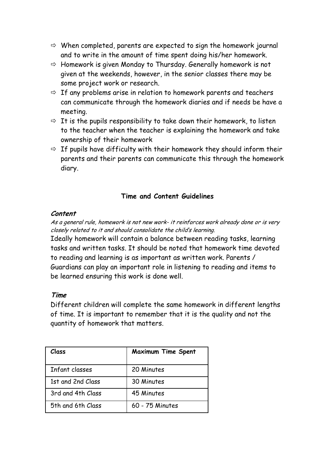- $\Rightarrow$  When completed, parents are expected to sign the homework journal and to write in the amount of time spent doing his/her homework.
- $\Rightarrow$  Homework is given Monday to Thursday. Generally homework is not given at the weekends, however, in the senior classes there may be some project work or research.
- $\Rightarrow$  If any problems arise in relation to homework parents and teachers can communicate through the homework diaries and if needs be have a meeting.
- $\Rightarrow$  It is the pupils responsibility to take down their homework, to listen to the teacher when the teacher is explaining the homework and take ownership of their homework
- $\Rightarrow$  If pupils have difficulty with their homework they should inform their parents and their parents can communicate this through the homework diary.

# **Time and Content Guidelines**

#### **Content**

As a general rule, homework is not new work- it reinforces work already done or is very closely related to it and should consolidate the child's learning.

Ideally homework will contain a balance between reading tasks, learning tasks and written tasks. It should be noted that homework time devoted to reading and learning is as important as written work. Parents / Guardians can play an important role in listening to reading and items to be learned ensuring this work is done well.

# **Time**

Different children will complete the same homework in different lengths of time. It is important to remember that it is the quality and not the quantity of homework that matters.

| Class             | Maximum Time Spent |
|-------------------|--------------------|
| Infant classes    | 20 Minutes         |
| 1st and 2nd Class | 30 Minutes         |
| 3rd and 4th Class | 45 Minutes         |
| 5th and 6th Class | 60 - 75 Minutes    |